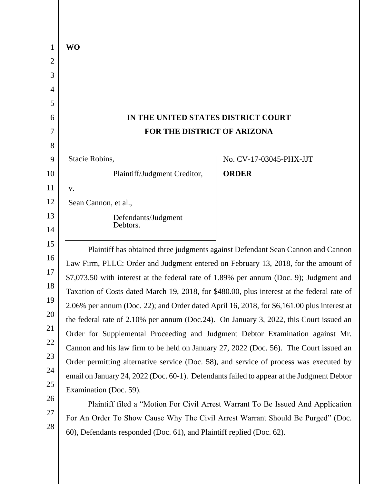| 1        | <b>WO</b>                                                                                  |
|----------|--------------------------------------------------------------------------------------------|
| 2        |                                                                                            |
| 3        |                                                                                            |
| 4        |                                                                                            |
| 5        |                                                                                            |
| 6        | IN THE UNITED STATES DISTRICT COURT                                                        |
| 7        | FOR THE DISTRICT OF ARIZONA                                                                |
| 8        |                                                                                            |
| 9        | Stacie Robins,<br>No. CV-17-03045-PHX-JJT                                                  |
| 10       | Plaintiff/Judgment Creditor,<br><b>ORDER</b>                                               |
| 11       | V.                                                                                         |
| 12       | Sean Cannon, et al.,                                                                       |
| 13       | Defendants/Judgment<br>Debtors.                                                            |
| 14       |                                                                                            |
| 15       | Plaintiff has obtained three judgments against Defendant Sean Cannon and Cannon            |
| 16       | Law Firm, PLLC: Order and Judgment entered on February 13, 2018, for the amount of         |
| 17       | \$7,073.50 with interest at the federal rate of 1.89% per annum (Doc. 9); Judgment and     |
| 18       | Taxation of Costs dated March 19, 2018, for \$480.00, plus interest at the federal rate of |
| 19       | 2.06% per annum (Doc. 22); and Order dated April 16, 2018, for \$6,161.00 plus interest at |
| 20       | the federal rate of 2.10% per annum (Doc.24). On January 3, 2022, this Court issued an     |
| 21<br>22 | Order for Supplemental Proceeding and Judgment Debtor Examination against Mr.              |
| 23       | Cannon and his law firm to be held on January 27, 2022 (Doc. 56). The Court issued an      |
| 24       | Order permitting alternative service (Doc. 58), and service of process was executed by     |
| 25       | email on January 24, 2022 (Doc. 60-1). Defendants failed to appear at the Judgment Debtor  |
| 26       | Examination (Doc. 59).                                                                     |
| 27       | Plaintiff filed a "Motion For Civil Arrest Warrant To Be Issued And Application            |
| 28       | For An Order To Show Cause Why The Civil Arrest Warrant Should Be Purged" (Doc.            |
|          | 60), Defendants responded (Doc. 61), and Plaintiff replied (Doc. 62).                      |